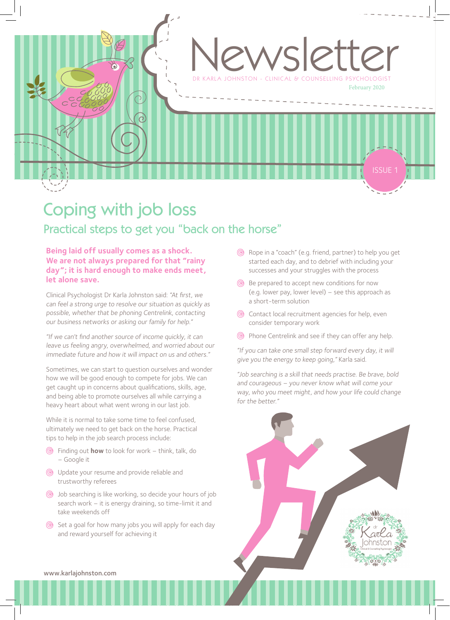

### Coping with job loss Practical steps to get you "back on the horse"

#### **Being laid off usually comes as a shock. We are not always prepared for that "rainy day"; it is hard enough to make ends meet, let alone save.**

Clinical Psychologist Dr Karla Johnston said: "At first, we can feel a strong urge to resolve our situation as quickly as possible, whether that be phoning Centrelink, contacting our business networks or asking our family for help."

"If we can't find another source of income quickly, it can leave us feeling angry, overwhelmed, and worried about our immediate future and how it will impact on us and others."

Sometimes, we can start to question ourselves and wonder how we will be good enough to compete for jobs. We can get caught up in concerns about qualifications, skills, age, and being able to promote ourselves all while carrying a heavy heart about what went wrong in our last job.

While it is normal to take some time to feel confused, ultimately we need to get back on the horse. Practical tips to help in the job search process include:

- Finding out **how** to look for work think, talk, do – Google it
- Update your resume and provide reliable and trustworthy referees
- Job searching is like working, so decide your hours of job search work – it is energy draining, so time-limit it and take weekends off
- Set a goal for how many jobs you will apply for each day and reward yourself for achieving it
- Rope in a "coach" (e.g. friend, partner) to help you get started each day, and to debrief with including your successes and your struggles with the process
- **Be prepared to accept new conditions for now** (e.g. lower pay, lower level) – see this approach as a short-term solution
- Contact local recruitment agencies for help, even consider temporary work
- Phone Centrelink and see if they can offer any help.

"If you can take one small step forward every day, it will <sup>g</sup>ive you the energy to keep going," Karla said.

"Job searching is a skill that needs practise. Be brave, bold and courageous – you never know what will come your way, who you meet might, and how your life could change for the better."



www.karlajohnston.com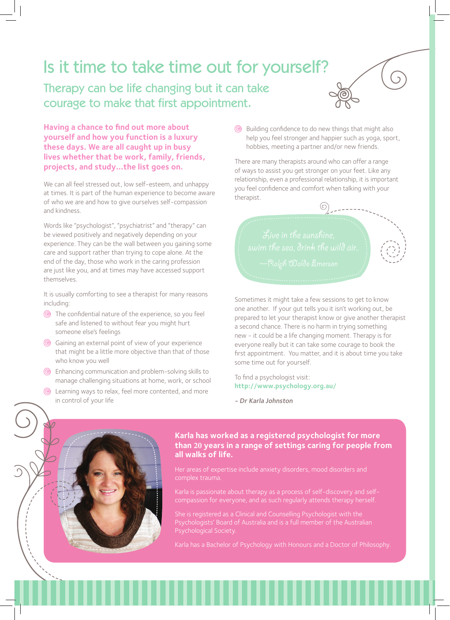# Is it time to take time out for yourself?

Therapy can be life changing but it can take courage to make that first appointment.

**Having a chance to find out more about yourself and how you function is a luxury these days. We are all caught up in busy lives whether that be work, family, friends, projects, and study…the list goes on.** 

We can all feel stressed out, low self-esteem, and unhappy at times. It is part of the human experience to become aware of who we are and how to give ourselves self-compassion and kindness.

Words like "psychologist", "psychiatrist" and "therapy" can be viewed positively and negatively depending on your experience. They can be the wall between you gaining some care and support rather than trying to cope alone. At the end of the day, those who work in the caring profession are just like you, and at times may have accessed support themselves.

It is usually comforting to see a therapist for many reasons including:

- The confidential nature of the experience, so you feel safe and listened to without fear you might hurt someone else's feelings
- Gaining an external point of view of your experience that might be a little more objective than that of those who know you well
- Enhancing communication and problem-solving skills to manage challenging situations at home, work, or school
- Learning ways to relax, feel more contented, and more in control of your life

Building confidence to do new things that might also help you feel stronger and happier such as yoga, sport, hobbies, meeting a partner and/or new friends.

There are many therapists around who can offer a range of ways to assist you get stronger on your feet. Like any relationship, even a professional relationship, it is important you feel confidence and comfort when talking with your therapist.



Sometimes it might take a few sessions to get to know one another. If your gut tells you it isn't working out, be prepared to let your therapist know or give another therapist a second chance. There is no harm in trying something new - it could be a life changing moment. Therapy is for everyone really but it can take some courage to book the first appointment. You matter, and it is about time you take some time out for yourself.

To find a psychologist visit: **http://www.psychology.org.au/**

- Dr Karla Johnston



Her areas of expertise include anxiety disorders, mood disorders and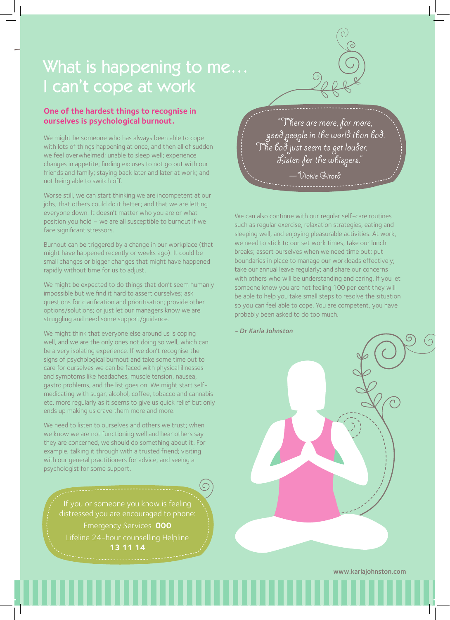### What is happening to me… I can't cope at work

#### **One of the hardest things to recognise in ourselves is psychological burnout.**

We might be someone who has always been able to cope with lots of things happening at once, and then all of sudden we feel overwhelmed; unable to sleep well; experience changes in appetite; finding excuses to not go out with our friends and family; staying back later and later at work; and not being able to switch off.

Worse still, we can start thinking we are incompetent at our jobs; that others could do it better; and that we are letting everyone down. It doesn't matter who you are or what position you hold – we are all susceptible to burnout if we face significant stressors.

Burnout can be triggered by a change in our workplace (that might have happened recently or weeks ago). It could be small changes or bigger changes that might have happened rapidly without time for us to adjust.

We might be expected to do things that don't seem humanly impossible but we find it hard to assert ourselves; ask questions for clarification and prioritisation; provide other options/solutions; or just let our managers know we are struggling and need some support/guidance.

We might think that everyone else around us is coping well, and we are the only ones not doing so well, which can be a very isolating experience. If we don't recognise the signs of psychological burnout and take some time out to care for ourselves we can be faced with physical illnesses and symptoms like headaches, muscle tension, nausea, gastro problems, and the list goes on. We might start selfmedicating with sugar, alcohol, coffee, tobacco and cannabis etc. more regularly as it seems to give us quick relief but only ends up making us crave them more and more.

We need to listen to ourselves and others we trust; when we know we are not functioning well and hear others say they are concerned, we should do something about it. For example, talking it through with a trusted friend; visiting with our general practitioners for advice; and seeing a psychologist for some support.

> distressed you are encouraged to phone: Emergency Services **000** Lifeline 24-hour counselling Helpline **13 11 14**

 "There are more, far more, good people in the world than bad. The bad just seem to get louder. Listen for the whispers." —Vickie Girard

We can also continue with our regular self-care routines such as regular exercise, relaxation strategies, eating and sleeping well, and enjoying pleasurable activities. At work, we need to stick to our set work times; take our lunch breaks; assert ourselves when we need time out; put boundaries in place to manage our workloads effectively; take our annual leave regularly; and share our concerns with others who will be understanding and caring. If you let someone know you are not feeling 100 per cent they will be able to help you take small steps to resolve the situation so you can feel able to cope. You are competent, you have probably been asked to do too much.

#### - Dr Karla Johnston

www.karlajohnston.com